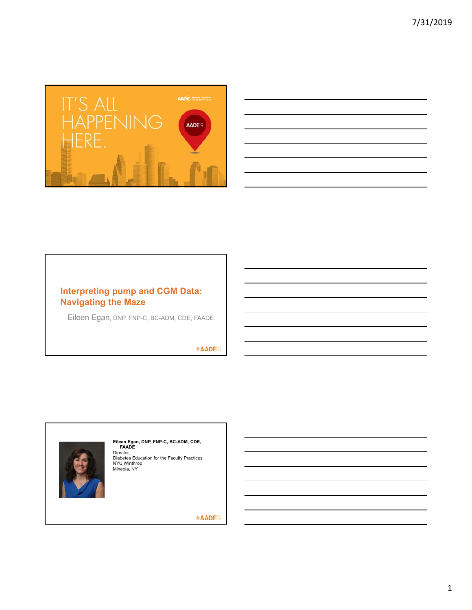

| the control of the control of the control of the control of the control of the control of the control of the control of the control of the control of the control of the control of the control of the control of the control |  |  |
|-------------------------------------------------------------------------------------------------------------------------------------------------------------------------------------------------------------------------------|--|--|
|                                                                                                                                                                                                                               |  |  |
|                                                                                                                                                                                                                               |  |  |
|                                                                                                                                                                                                                               |  |  |
|                                                                                                                                                                                                                               |  |  |
|                                                                                                                                                                                                                               |  |  |
| <u> 1989 - Andrea Santa Andrea Andrea Andrea Andrea Andrea Andrea Andrea Andrea Andrea Andrea Andrea Andrea Andr</u>                                                                                                          |  |  |
|                                                                                                                                                                                                                               |  |  |

# **Interpreting pump and CGM Data: Navigating the Maze**

Eileen Egan, DNP, FNP-C, BC-ADM, CDE, FAADE

#AADE<sup>19</sup>



**Eileen Egan, DNP, FNP-C, BC-ADM, CDE,<br>FAADE<br>Director,<br>Diabetes Education for the Faculty Practices<br>NYU Winthrop<br>Mineola, NY**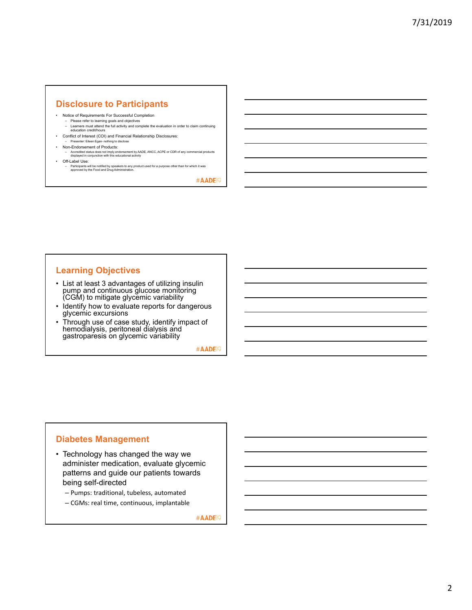# **Disclosure to Participants**

- Notice of Requirements For Successful Completion
- Please refer to learning goals and objectives Learners must attend the full activity and complete the evaluation in order to claim continuing education credit/hours
- Conflict of Interest (COI) and Financial Relationship Disclosures: – Presenter: Eileen Egan- nothing to disclose
- Non-Endorsement of Products:
	- Accredited status does not imply endorsement by AADE, ANCC, ACPE or CDR of any commercial products displayed in conjunction with this educational activity
- Off-Label Use:
	- Participants will be notified by speakers to any product used for a purpose other than for which it was approved by the Food and Drug Administration.

#AADE<sup>19</sup>

# **Learning Objectives**

- List at least 3 advantages of utilizing insulin pump and continuous glucose monitoring (CGM) to mitigate glycemic variability
- Identify how to evaluate reports for dangerous glycemic excursions
- Through use of case study, identify impact of hemodialysis, peritoneal dialysis and gastroparesis on glycemic variability

#AADE<sup>19</sup>

# **Diabetes Management**

- Technology has changed the way we administer medication, evaluate glycemic patterns and guide our patients towards being self-directed
	- Pumps: traditional, tubeless, automated
	- CGMs: real time, continuous, implantable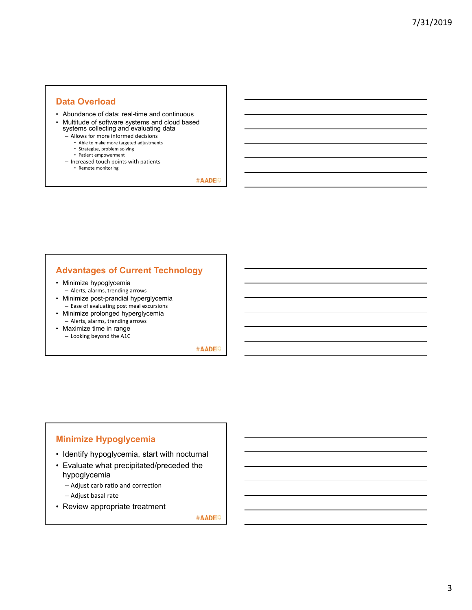## **Data Overload**

- Abundance of data; real-time and continuous
- Multitude of software systems and cloud based systems collecting and evaluating data
	- Allows for more informed decisions
		- Able to make more targeted adjustments
		- Strategize, problem solving
		- Patient empowerment
	- Increased touch points with patients • Remote monitoring

#AADE<sup>19</sup>

# **Advantages of Current Technology**

- Minimize hypoglycemia
- Alerts, alarms, trending arrows • Minimize post-prandial hyperglycemia
- Ease of evaluating post meal excursions • Minimize prolonged hyperglycemia
- Alerts, alarms, trending arrows • Maximize time in range
- Looking beyond the A1C

#AADE<sup>19</sup>

# **Minimize Hypoglycemia**

- Identify hypoglycemia, start with nocturnal
- Evaluate what precipitated/preceded the hypoglycemia
	- Adjust carb ratio and correction
	- Adjust basal rate
- Review appropriate treatment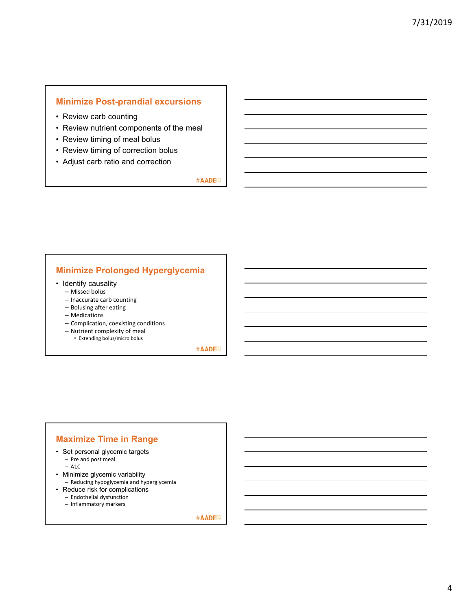# **Minimize Post-prandial excursions**

- Review carb counting
- Review nutrient components of the meal
- Review timing of meal bolus
- Review timing of correction bolus
- Adjust carb ratio and correction

#AADE<sup>19</sup>

## **Minimize Prolonged Hyperglycemia**

- Identify causality
	- Missed bolus
	- Inaccurate carb counting
	- Bolusing after eating
	- Medications
	- Complication, coexisting conditions
	- Nutrient complexity of meal
		- Extending bolus/micro bolus

#AADE<sup>19</sup>

## **Maximize Time in Range**

- Set personal glycemic targets – Pre and post meal
	- A1C
- Minimize glycemic variability
- Reducing hypoglycemia and hyperglycemia
- Reduce risk for complications
	- Endothelial dysfunction
	- Inflammatory markers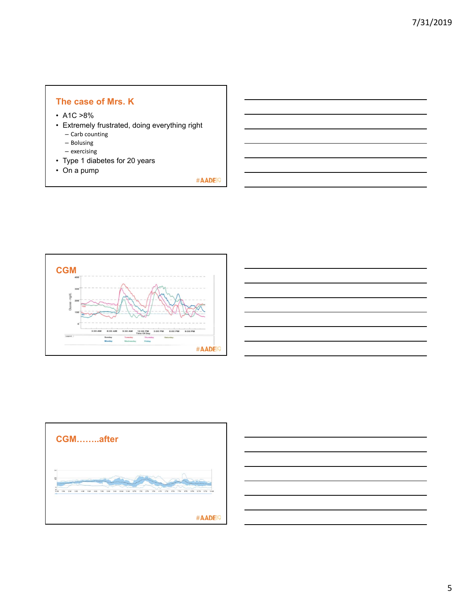# **The case of Mrs. K**

- $\cdot$  A1C  $>8\%$
- Extremely frustrated, doing everything right
	- Carb counting
	- Bolusing – exercising
- Type 1 diabetes for 20 years
- On a pump





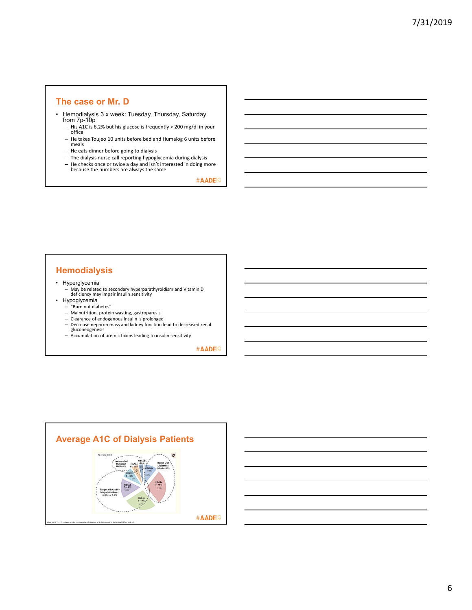#### **The case or Mr. D**

- Hemodialysis 3 x week: Tuesday, Thursday, Saturday from 7p-10p
	- His A1C is 6.2% but his glucose is frequently > 200 mg/dl in your office
	- He takes Toujeo 10 units before bed and Humalog 6 units before meals
	- He eats dinner before going to dialysis
	- The dialysis nurse call reporting hypoglycemia during dialysis
	- He checks once or twice a day and isn't interested in doing more because the numbers are always the same

#AADE<sup>19</sup>

# **Hemodialysis**

- Hyperglycemia
	- May be related to secondary hyperparathyroidism and Vitamin D deficiency may impair insulin sensitivity
- Hypoglycemia
	- "Burn out diabetes" Malnutrition, protein wasting, gastroparesis
	-
	- Clearance of endogenous insulin is prolonged Decrease nephron mass and kidney function lead to decreased renal gluconeogenesis Accumulation of uremic toxins leading to insulin sensitivity
	-
	-

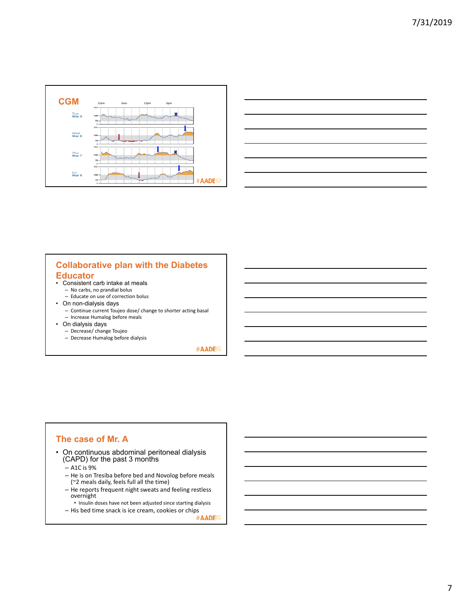

| and the contract of the contract of the contract of the contract of the contract of                                  |  |
|----------------------------------------------------------------------------------------------------------------------|--|
| <u> Alexandro de la contrada de la contrada de la contrada de la contrada de la contrada de la contrada de la co</u> |  |
|                                                                                                                      |  |
|                                                                                                                      |  |
|                                                                                                                      |  |
|                                                                                                                      |  |
|                                                                                                                      |  |

# **Collaborative plan with the Diabetes Educator**

- Consistent carb intake at meals
	- No carbs, no prandial bolus
- Educate on use of correction bolus • On non-dialysis days
	-
	- Continue current Toujeo dose/ change to shorter acting basal – Increase Humalog before meals
- On dialysis days
	- Decrease/ change Toujeo
	- Decrease Humalog before dialysis

#AADE<sup>19</sup>

## **The case of Mr. A**

- On continuous abdominal peritoneal dialysis (CAPD) for the past 3 months
	- A1C is 9%
	- He is on Tresiba before bed and Novolog before meals (~2 meals daily, feels full all the time)
	- He reports frequent night sweats and feeling restless overnight
	- Insulin doses have not been adjusted since starting dialysis

– His bed time snack is ice cream, cookies or chips  $*AADE\$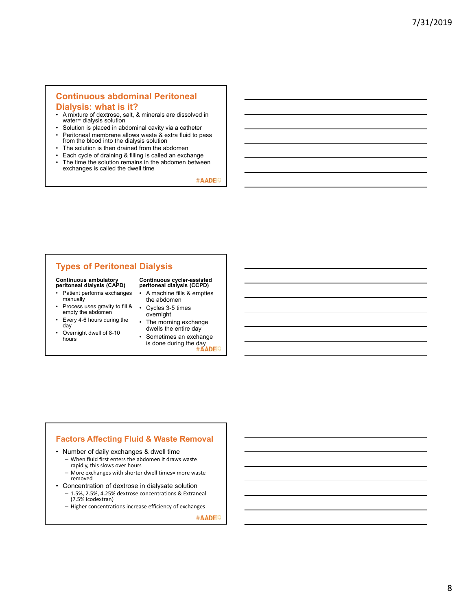# **Continuous abdominal Peritoneal**

### **Dialysis: what is it?**

- A mixture of dextrose, salt, & minerals are dissolved in water= dialysis solution
- Solution is placed in abdominal cavity via a catheter • Peritoneal membrane allows waste & extra fluid to pass
- from the blood into the dialysis solution • The solution is then drained from the abdomen
- 
- Each cycle of draining & filling is called an exchange The time the solution remains in the abdomen between exchanges is called the dwell time

#AADE<sup>19</sup>

# **Types of Peritoneal Dialysis**

# **Continuous ambulatory peritoneal dialysis (CAPD)**

- Patient performs exchanges manually
- Process uses gravity to fill & empty the abdomen
- Every 4-6 hours during the day
- Overnight dwell of 8-10 hours

# **Continuous cycler-assisted peritoneal dialysis (CCPD)**

- A machine fills & empties the abdomen
- Cycles 3-5 times overnight
- The morning exchange dwells the entire day
- Sometimes an exchange is done during the day<br>
#AADEP

#### **Factors Affecting Fluid & Waste Removal**

- Number of daily exchanges & dwell time
	- When fluid first enters the abdomen it draws waste rapidly, this slows over hours
	- More exchanges with shorter dwell times= more waste removed
- Concentration of dextrose in dialysate solution
	- 1.5%, 2.5%, 4.25% dextrose concentrations & Extraneal
	- (7.5% icodextran) – Higher concentrations increase efficiency of exchanges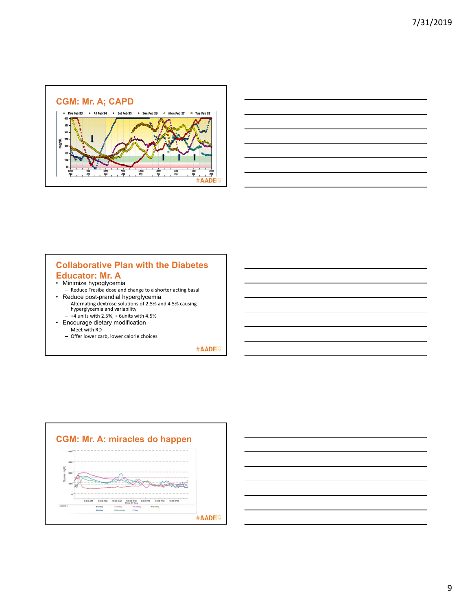

|                                                                                                                      | <b>Contract Contract Contract</b> |
|----------------------------------------------------------------------------------------------------------------------|-----------------------------------|
|                                                                                                                      |                                   |
| <u> Andreas Andreas Andreas Andreas Andreas Andreas Andreas Andreas Andreas Andreas Andreas Andreas Andreas Andr</u> | ______                            |
| $\sim$ $\sim$                                                                                                        | the contract of the contract      |
|                                                                                                                      |                                   |

## **Collaborative Plan with the Diabetes Educator: Mr. A**

- Minimize hypoglycemia
- Reduce Tresiba dose and change to a shorter acting basal
- Reduce post-prandial hyperglycemia – Alternating dextrose solutions of 2.5% and 4.5% causing hyperglycemia and variability
- +4 units with 2.5%, + 6units with 4.5%
- Encourage dietary modification – Meet with RD
	- Offer lower carb, lower calorie choices



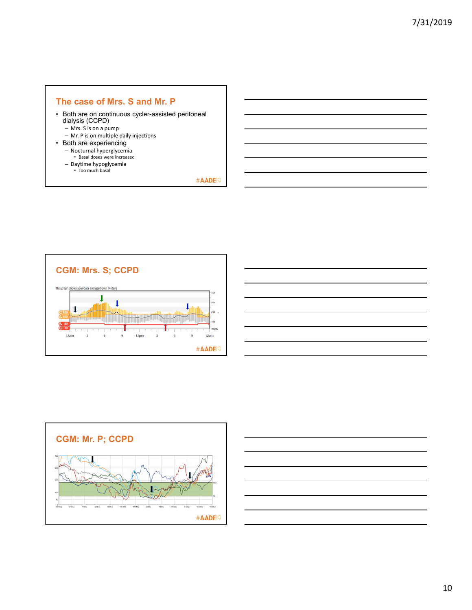## **The case of Mrs. S and Mr. P**

- Both are on continuous cycler-assisted peritoneal dialysis (CCPD)
	- Mrs. S is on a pump
	- Mr. P is on multiple daily injections
- Both are experiencing
	- Nocturnal hyperglycemia Basal doses were increased
	- Daytime hypoglycemia
	- Too much basal







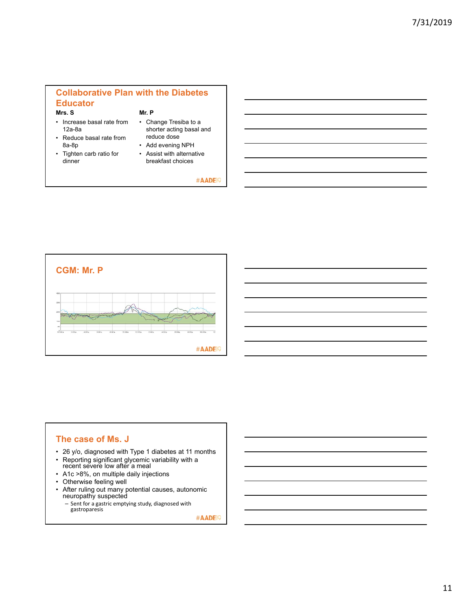#### **Collaborative Plan with the Diabetes Educator Mrs. S Mr. P**

- 
- Increase basal rate from 12a-8a
- Reduce basal rate from 8a-8p
- Tighten carb ratio for dinner
- Change Tresiba to a shorter acting basal and reduce dose
- Add evening NPH
- Assist with alternative breakfast choices

#AADE<sup>19</sup>



# **The case of Ms. J**

- 26 y/o, diagnosed with Type 1 diabetes at 11 months
- Reporting significant glycemic variability with a recent severe low after a meal
- A1c >8%, on multiple daily injections
- Otherwise feeling well
- After ruling out many potential causes, autonomic neuropathy suspected – Sent for a gastric emptying study, diagnosed with

gastroparesis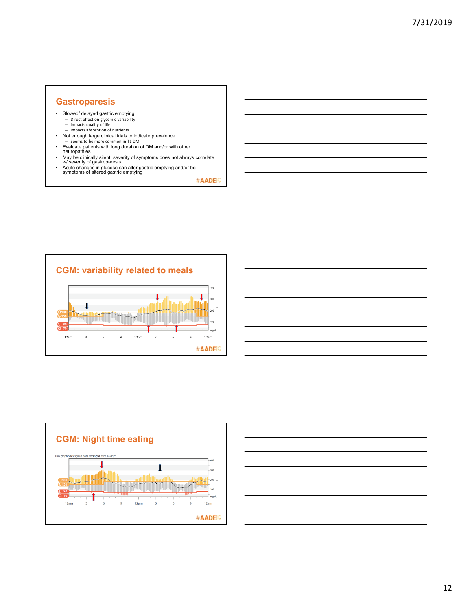# **Gastroparesis**

- Slowed/ delayed gastric emptying
	- Direct effect on glycemic variability Impacts quality of life
	- Impacts absorption of nutrients
- Not enough large clinical trials to indicate prevalence – Seems to be more common in T1 DM
- 
- Evaluate patients with long duration of DM and/or with other<br>neuropathies<br>• May be clinically silent: severity of symptoms does not always correlate<br>• Acute changes in glucose can alter gastric emptying and/or be<br>• Acut
- 







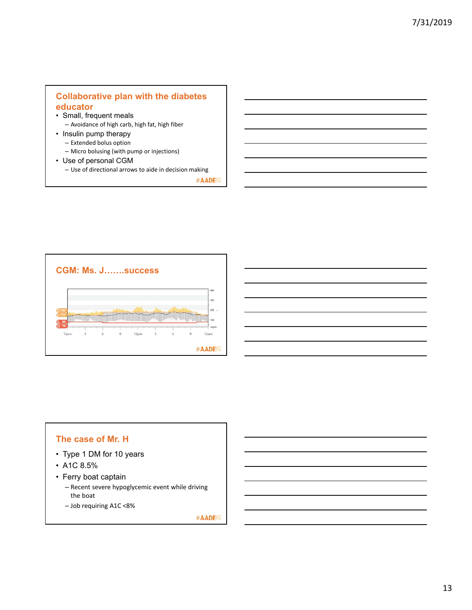# **Collaborative plan with the diabetes educator**

- Small, frequent meals – Avoidance of high carb, high fat, high fiber
- Insulin pump therapy
	- Extended bolus option
	- Micro bolusing (with pump or injections)
- Use of personal CGM
	- Use of directional arrows to aide in decision making

#AADE<sup>19</sup>



# **The case of Mr. H**

- Type 1 DM for 10 years
- A1C 8.5%
- Ferry boat captain
	- Recent severe hypoglycemic event while driving the boat
	- Job requiring A1C <8%